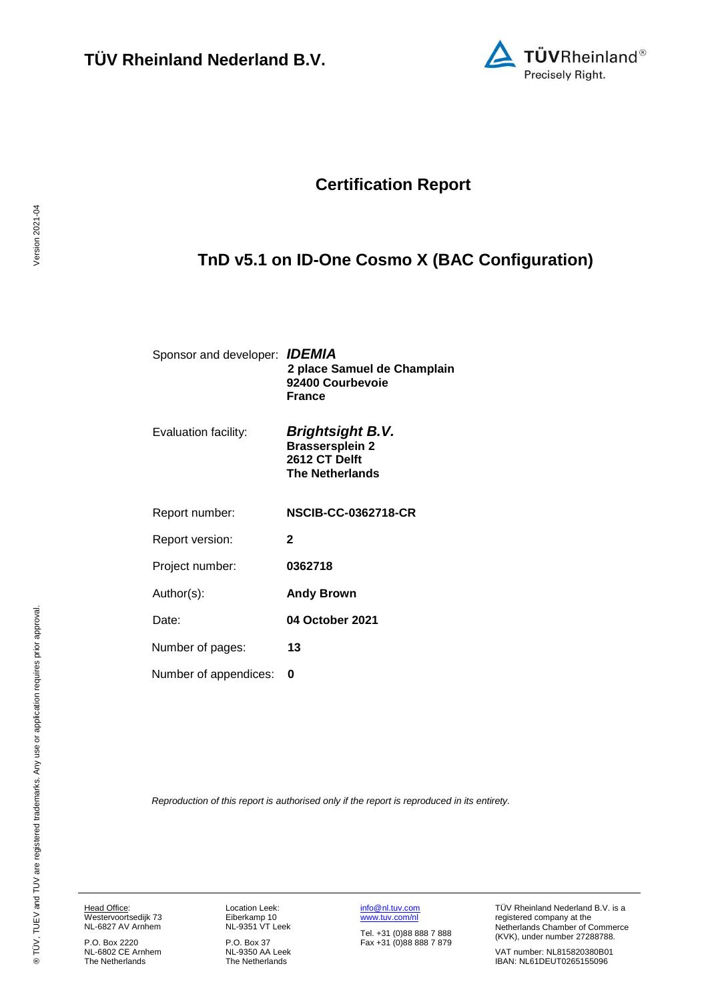

## **Certification Report**

# <span id="page-0-4"></span><span id="page-0-3"></span>**TnD v5.1 on ID-One Cosmo X (BAC Configuration)**

<span id="page-0-1"></span><span id="page-0-0"></span>

| Sponsor and developer: <b>IDEMIA</b> | 2 place Samuel de Champlain<br>92400 Courbevoie<br><b>France</b>                             |
|--------------------------------------|----------------------------------------------------------------------------------------------|
| Evaluation facility:                 | <b>Brightsight B.V.</b><br><b>Brassersplein 2</b><br>2612 CT Delft<br><b>The Netherlands</b> |
| Report number:                       | <b>NSCIB-CC-0362718-CR</b>                                                                   |
| Report version:                      | $\mathbf{2}$                                                                                 |
| Project number:                      | 0362718                                                                                      |
| Author(s):                           | <b>Andy Brown</b>                                                                            |
| Date:                                | 04 October 2021                                                                              |
| Number of pages:                     | 13                                                                                           |
| Number of appendices:                | O                                                                                            |
|                                      |                                                                                              |

<span id="page-0-2"></span>*Reproduction of this report is authorised only if the report is reproduced in its entirety.*

Head Office: Westervoortsedijk 73 NL-6827 AV Arnhem

P.O. Box 2220 NL-6802 CE Arnhem The Netherlands Location Leek: Eiberkamp 10 NL-9351 VT Leek

P.O. Box 37 NL-9350 AA Leek The Netherlands [info@nl.tuv.com](mailto:info@nl.tuv.com) [www.tuv.com/nl](http://www.tuv.com/nl)

Tel. +31 (0)88 888 7 888 Fax +31 (0)88 888 7 879 TÜV Rheinland Nederland B.V. is a registered company at the Netherlands Chamber of Commerce (KVK), under number 27288788.

VAT number: NL815820380B01 IBAN: NL61DEUT0265155096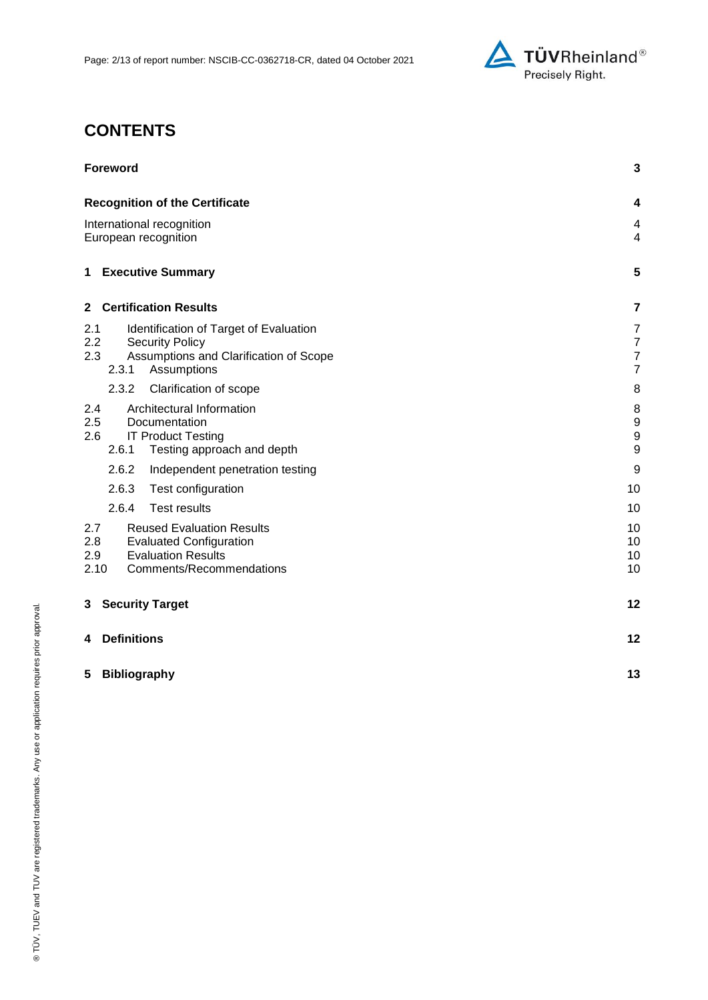

# **CONTENTS**

| <b>Foreword</b>                                                                                                                                          | 3                                                                    |
|----------------------------------------------------------------------------------------------------------------------------------------------------------|----------------------------------------------------------------------|
| <b>Recognition of the Certificate</b>                                                                                                                    | 4                                                                    |
| International recognition<br>European recognition                                                                                                        |                                                                      |
| 1 Executive Summary                                                                                                                                      | 5                                                                    |
| <b>Certification Results</b><br>$\mathbf{2}$                                                                                                             | 7                                                                    |
| Identification of Target of Evaluation<br>2.1<br>2.2<br><b>Security Policy</b><br>2.3<br>Assumptions and Clarification of Scope<br>2.3.1<br>Assumptions  | $\overline{7}$<br>$\overline{7}$<br>$\overline{7}$<br>$\overline{7}$ |
| 2.3.2<br>Clarification of scope                                                                                                                          | 8                                                                    |
| Architectural Information<br>2.4<br>2.5<br>Documentation<br><b>IT Product Testing</b><br>2.6<br>2.6.1<br>Testing approach and depth                      | 8<br>9<br>$\boldsymbol{9}$<br>$\boldsymbol{9}$                       |
| 2.6.2<br>Independent penetration testing                                                                                                                 | 9                                                                    |
| 2.6.3<br>Test configuration                                                                                                                              | 10                                                                   |
| 2.6.4<br><b>Test results</b>                                                                                                                             | 10                                                                   |
| 2.7<br><b>Reused Evaluation Results</b><br>2.8<br><b>Evaluated Configuration</b><br><b>Evaluation Results</b><br>2.9<br>2.10<br>Comments/Recommendations | 10<br>10<br>10<br>10                                                 |
| <b>Security Target</b><br>3                                                                                                                              | 12                                                                   |
| <b>Definitions</b><br>4                                                                                                                                  | 12                                                                   |
| 5<br><b>Bibliography</b>                                                                                                                                 | 13                                                                   |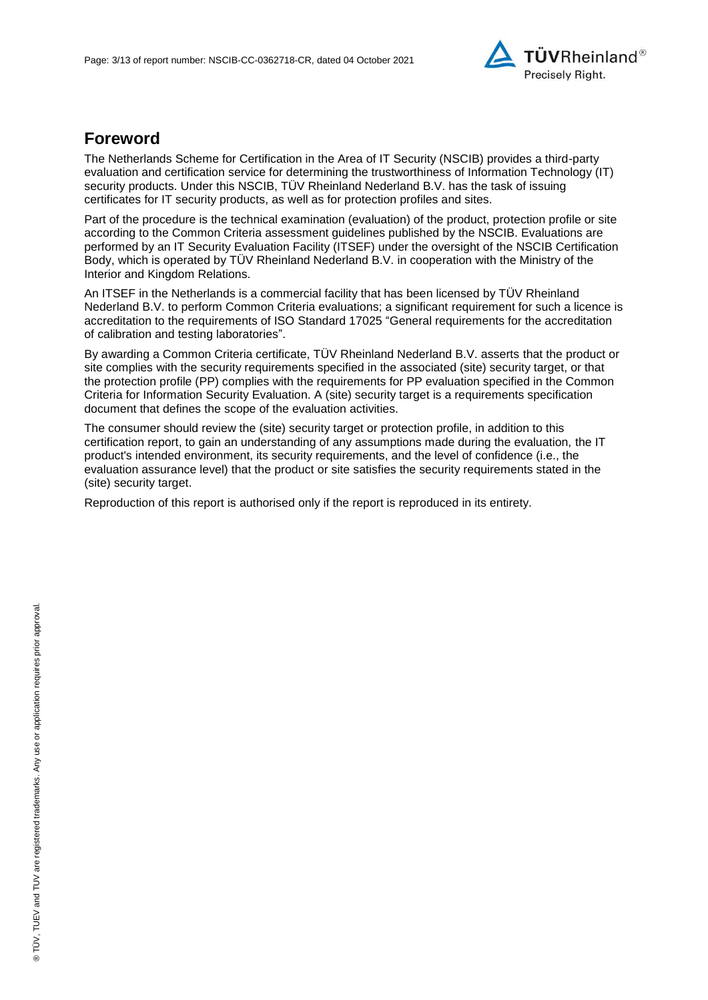

## **Foreword**

The Netherlands Scheme for Certification in the Area of IT Security (NSCIB) provides a third-party evaluation and certification service for determining the trustworthiness of Information Technology (IT) security products. Under this NSCIB, TÜV Rheinland Nederland B.V. has the task of issuing certificates for IT security products, as well as for protection profiles and sites.

Part of the procedure is the technical examination (evaluation) of the product, protection profile or site according to the Common Criteria assessment guidelines published by the NSCIB. Evaluations are performed by an IT Security Evaluation Facility (ITSEF) under the oversight of the NSCIB Certification Body, which is operated by TÜV Rheinland Nederland B.V. in cooperation with the Ministry of the Interior and Kingdom Relations.

An ITSEF in the Netherlands is a commercial facility that has been licensed by TÜV Rheinland Nederland B.V. to perform Common Criteria evaluations; a significant requirement for such a licence is accreditation to the requirements of ISO Standard 17025 "General requirements for the accreditation of calibration and testing laboratories".

By awarding a Common Criteria certificate, TÜV Rheinland Nederland B.V. asserts that the product or site complies with the security requirements specified in the associated (site) security target, or that the protection profile (PP) complies with the requirements for PP evaluation specified in the Common Criteria for Information Security Evaluation. A (site) security target is a requirements specification document that defines the scope of the evaluation activities.

The consumer should review the (site) security target or protection profile, in addition to this certification report, to gain an understanding of any assumptions made during the evaluation, the IT product's intended environment, its security requirements, and the level of confidence (i.e., the evaluation assurance level) that the product or site satisfies the security requirements stated in the (site) security target.

Reproduction of this report is authorised only if the report is reproduced in its entirety.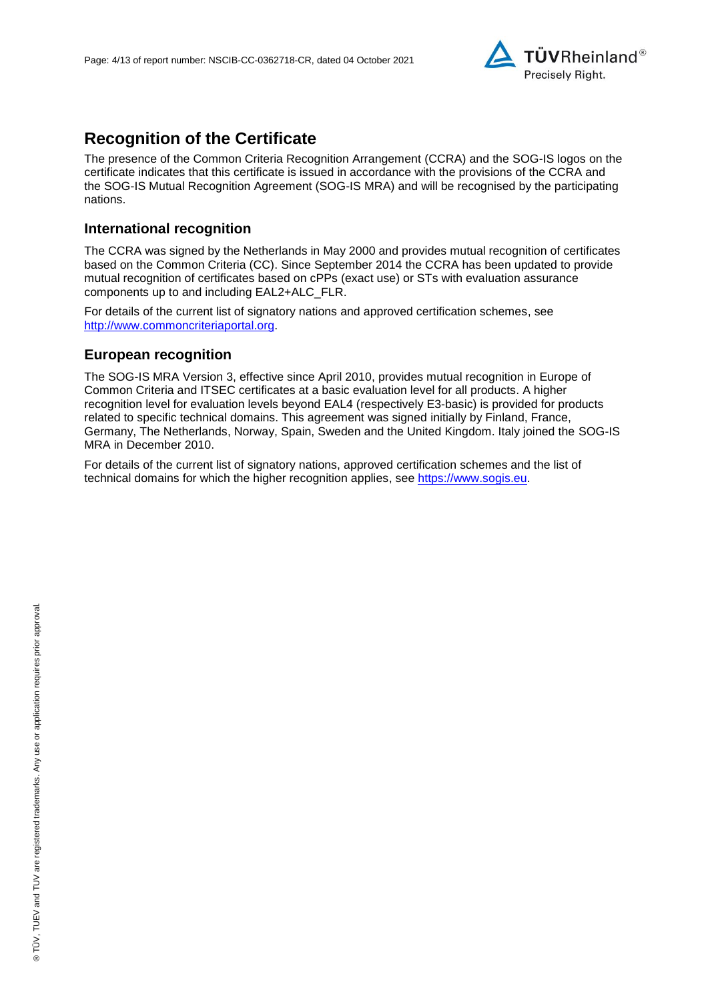

## **Recognition of the Certificate**

The presence of the Common Criteria Recognition Arrangement (CCRA) and the SOG-IS logos on the certificate indicates that this certificate is issued in accordance with the provisions of the CCRA and the SOG-IS Mutual Recognition Agreement (SOG-IS MRA) and will be recognised by the participating nations.

### **International recognition**

The CCRA was signed by the Netherlands in May 2000 and provides mutual recognition of certificates based on the Common Criteria (CC). Since September 2014 the CCRA has been updated to provide mutual recognition of certificates based on cPPs (exact use) or STs with evaluation assurance components up to and including EAL2+ALC\_FLR.

For details of the current list of signatory nations and approved certification schemes, see [http://www.commoncriteriaportal.org.](http://www.commoncriteriaportal.org/)

### **European recognition**

The SOG-IS MRA Version 3, effective since April 2010, provides mutual recognition in Europe of Common Criteria and ITSEC certificates at a basic evaluation level for all products. A higher recognition level for evaluation levels beyond EAL4 (respectively E3-basic) is provided for products related to specific technical domains. This agreement was signed initially by Finland, France, Germany, The Netherlands, Norway, Spain, Sweden and the United Kingdom. Italy joined the SOG-IS MRA in December 2010.

For details of the current list of signatory nations, approved certification schemes and the list of technical domains for which the higher recognition applies, see [https://www.sogis.eu.](https://www.sogis.eu/)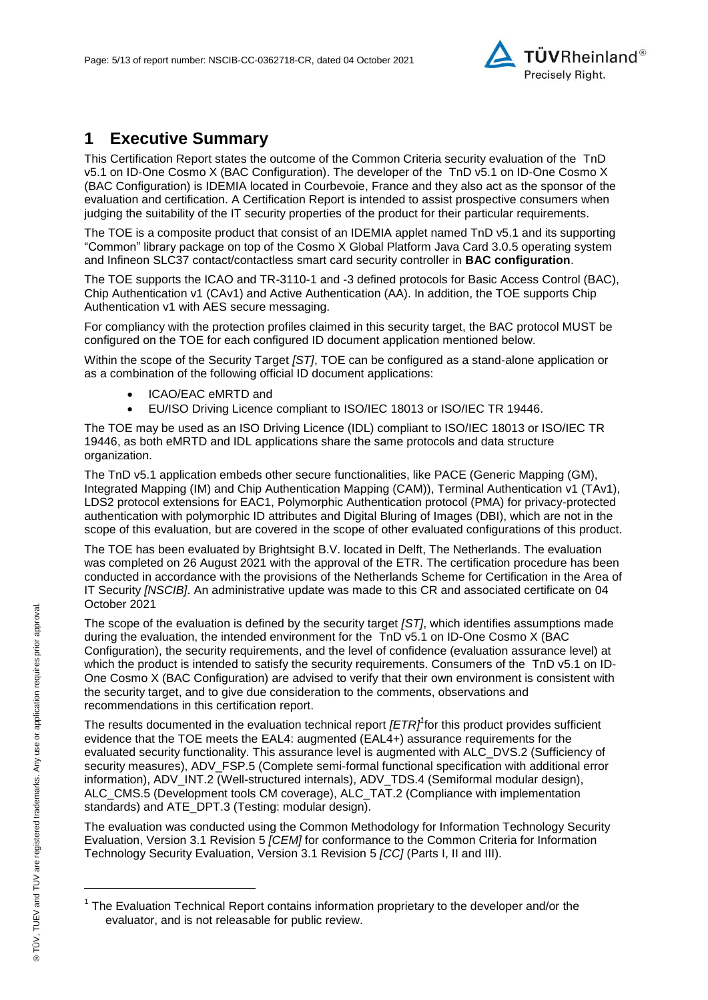

## **1 Executive Summary**

<span id="page-4-2"></span>This Certification Report states the outcome of the Common Criteria security evaluation of the [TnD](#page-0-3)  [v5.1 on ID-One Cosmo X \(BAC Configuration\).](#page-0-3) The developer of the [TnD v5.1 on ID-One Cosmo X](#page-0-3)  [\(BAC Configuration\)](#page-0-3) is [IDEMIA](#page-0-4) located in Courbevoie, France and they also act as the sponsor of the evaluation and certification. A Certification Report is intended to assist prospective consumers when judging the suitability of the IT security properties of the product for their particular requirements.

The TOE is a composite product that consist of an IDEMIA applet named TnD v5.1 and its supporting "Common" library package on top of the Cosmo X Global Platform Java Card 3.0.5 operating system and Infineon SLC37 contact/contactless smart card security controller in **BAC configuration**.

The TOE supports the ICAO and TR-3110-1 and -3 defined protocols for Basic Access Control (BAC), Chip Authentication v1 (CAv1) and Active Authentication (AA). In addition, the TOE supports Chip Authentication v1 with AES secure messaging.

For compliancy with the protection profiles claimed in this security target, the BAC protocol MUST be configured on the TOE for each configured ID document application mentioned below.

Within the scope of the Security Target *[ST]*, TOE can be configured as a stand-alone application or as a combination of the following official ID document applications:

- ICAO/EAC eMRTD and
- EU/ISO Driving Licence compliant to ISO/IEC 18013 or ISO/IEC TR 19446.

The TOE may be used as an ISO Driving Licence (IDL) compliant to ISO/IEC 18013 or ISO/IEC TR 19446, as both eMRTD and IDL applications share the same protocols and data structure organization.

The TnD v5.1 application embeds other secure functionalities, like PACE (Generic Mapping (GM), Integrated Mapping (IM) and Chip Authentication Mapping (CAM)), Terminal Authentication v1 (TAv1), LDS2 protocol extensions for EAC1, Polymorphic Authentication protocol (PMA) for privacy-protected authentication with polymorphic ID attributes and Digital Bluring of Images (DBI), which are not in the scope of this evaluation, but are covered in the scope of other evaluated configurations of this product.

The TOE has been evaluated by Brightsight B.V. located in Delft, The Netherlands. The evaluation was completed on 26 August 2021 with the approval of the ETR. The certification procedure has been conducted in accordance with the provisions of the Netherlands Scheme for Certification in the Area of IT Security *[NSCIB]*. An administrative update was made to this CR and associated certificate on 04 October 2021

The scope of the evaluation is defined by the security target *[ST]*, which identifies assumptions made during the evaluation, the intended environment for the [TnD v5.1 on ID-One Cosmo X \(BAC](#page-0-3)  [Configuration\),](#page-0-3) the security requirements, and the level of confidence (evaluation assurance level) at which the product is intended to satisfy the security requirements. Consumers of the [TnD v5.1 on ID-](#page-0-3)[One Cosmo X \(BAC Configuration\)](#page-0-3) are advised to verify that their own environment is consistent with the security target, and to give due consideration to the comments, observations and recommendations in this certification report.

<span id="page-4-0"></span>The results documented in the evaluation technical report *[ETR]<sup>1</sup>* for this product provides sufficient evidence that the TOE meets the EAL4: augmented (EA[L4+](#page-4-0)) assurance requirements for the evaluated security functionality. This assurance level is augmented with ALC\_DVS.2 (Sufficiency of security measures), ADV\_FSP.5 (Complete semi-formal functional specification with additional error information), ADV\_INT.2 (Well-structured internals), ADV\_TDS.4 (Semiformal modular design), ALC\_CMS.5 (Development tools CM coverage), ALC\_TAT.2 (Compliance with implementation standards) and ATE\_DPT.3 (Testing: modular design).

<span id="page-4-1"></span>The evaluation was conducted using the Common Methodology for Information Technology Security Evaluation, Version 3.1 Revision 5 *[CEM]* for conformance to the Common Criteria for Information Technology Security Evaluation, Version 3.1 Revision [5](#page-4-1) *[CC]* (Parts I, II and III).

l

<sup>&</sup>lt;sup>1</sup> The Evaluation Technical Report contains information proprietary to the developer and/or the evaluator, and is not releasable for public review.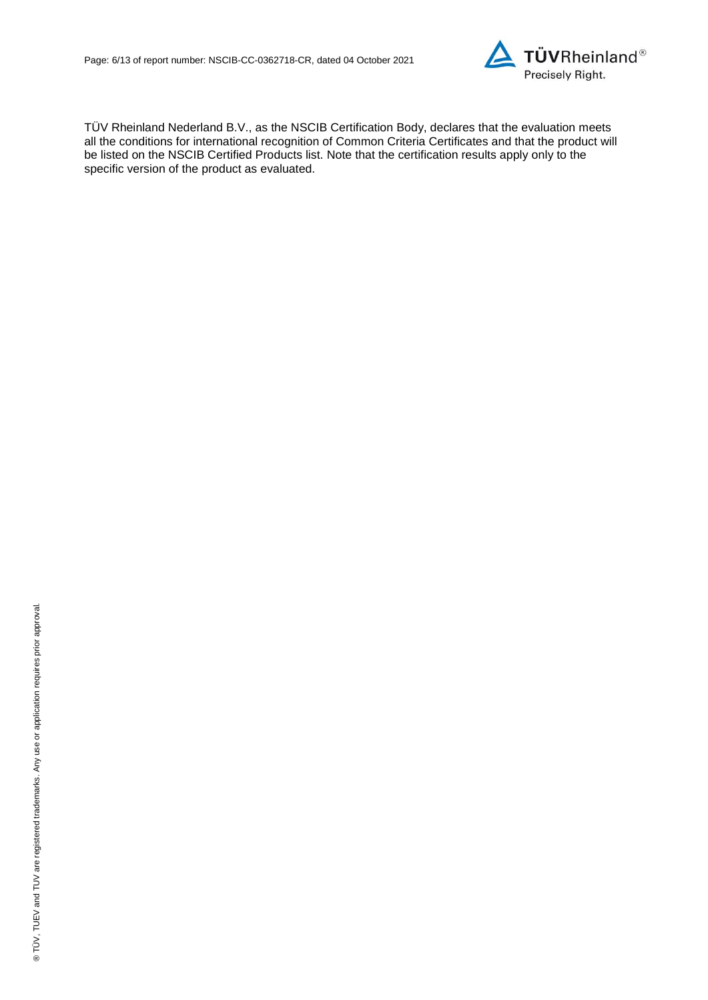

TÜV Rheinland Nederland B.V., as the NSCIB Certification Body, declares that the evaluation meets all the conditions for international recognition of Common Criteria Certificates and that the product will be listed on the NSCIB Certified Products list. Note that the certification results apply only to the specific version of the product as evaluated.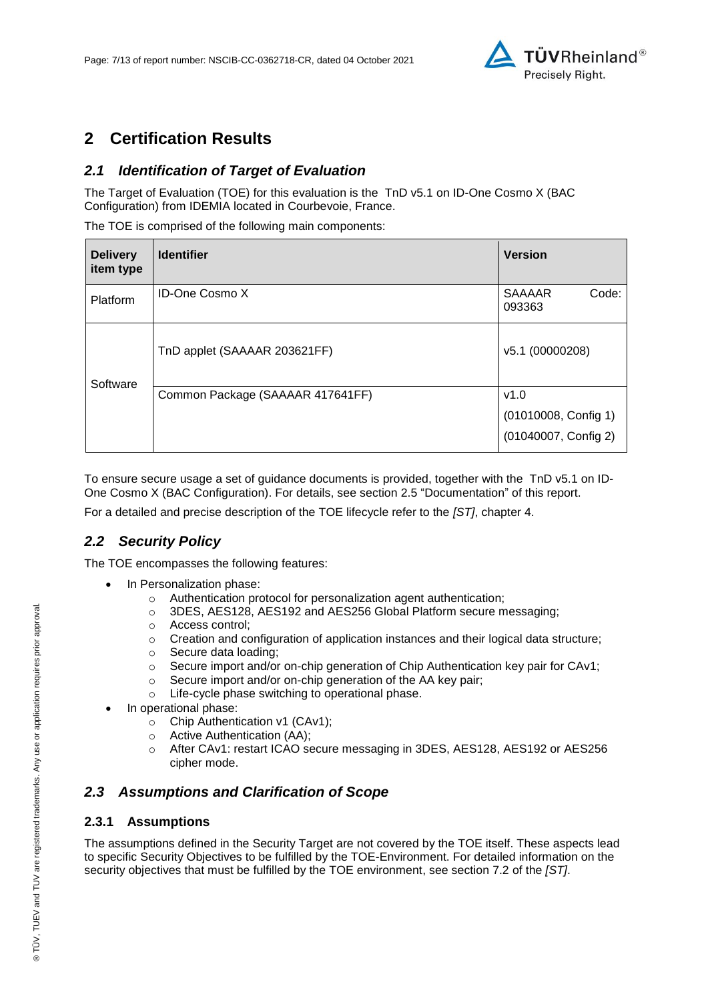

## **2 Certification Results**

## *2.1 Identification of Target of Evaluation*

The Target of Evaluation (TOE) for this evaluation is the [TnD v5.1 on ID-One Cosmo X \(BAC](#page-0-3)  [Configuration\)](#page-0-3) from [IDEMIA](#page-0-4) located in [Courbevoie, France.](#page-4-2)

The TOE is comprised of the following main components:

| <b>Delivery</b><br>item type | <b>Identifier</b>                | <b>Version</b>                                       |
|------------------------------|----------------------------------|------------------------------------------------------|
| Platform                     | <b>ID-One Cosmo X</b>            | <b>SAAAAR</b><br>Code:<br>093363                     |
| Software                     | TnD applet (SAAAAR 203621FF)     | v5.1 (00000208)                                      |
|                              | Common Package (SAAAAR 417641FF) | v1.0<br>(01010008, Config 1)<br>(01040007, Config 2) |

To ensure secure usage a set of guidance documents is provided, together with the [TnD v5.1 on ID-](#page-0-3)[One Cosmo X \(BAC Configuration\).](#page-0-3) For details, see section [2.5](#page-8-0) ["Documentation"](#page-8-0) of this report.

For a detailed and precise description of the TOE lifecycle refer to the *[ST]*, chapter 4.

## *2.2 Security Policy*

The TOE encompasses the following features:

- In Personalization phase:
	- o Authentication protocol for personalization agent authentication;
	- o 3DES, AES128, AES192 and AES256 Global Platform secure messaging;
	- o Access control;
	- o Creation and configuration of application instances and their logical data structure;
	- o Secure data loading;
	- $\circ$  Secure import and/or on-chip generation of Chip Authentication key pair for CAv1;
	- o Secure import and/or on-chip generation of the AA key pair;
	- o Life-cycle phase switching to operational phase.
- In operational phase:
	- o Chip Authentication v1 (CAv1);
	- o Active Authentication (AA);
	- o After CAv1: restart ICAO secure messaging in 3DES, AES128, AES192 or AES256 cipher mode.

## *2.3 Assumptions and Clarification of Scope*

### **2.3.1 Assumptions**

The assumptions defined in the Security Target are not covered by the TOE itself. These aspects lead to specific Security Objectives to be fulfilled by the TOE-Environment. For detailed information on the security objectives that must be fulfilled by the TOE environment, see section 7.2 of the *[ST]*.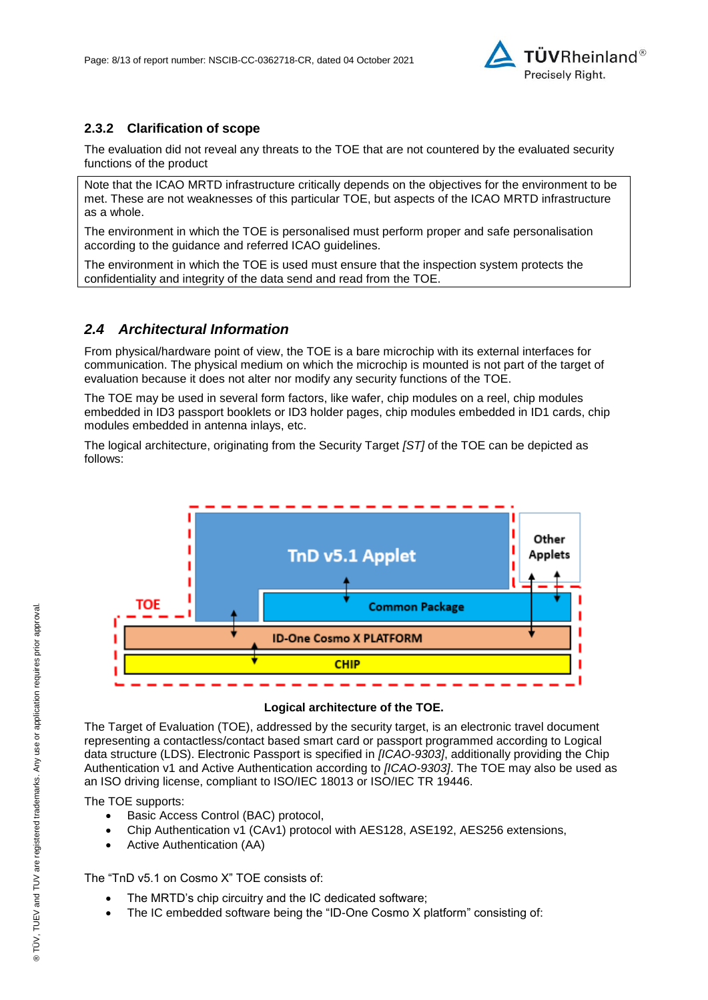

## **2.3.2 Clarification of scope**

The evaluation did not reveal any threats to the TOE that are not countered by the evaluated security functions of the product

Note that the ICAO MRTD infrastructure critically depends on the objectives for the environment to be met. These are not weaknesses of this particular TOE, but aspects of the ICAO MRTD infrastructure as a whole.

The environment in which the TOE is personalised must perform proper and safe personalisation according to the guidance and referred ICAO guidelines.

The environment in which the TOE is used must ensure that the inspection system protects the confidentiality and integrity of the data send and read from the TOE.

### *2.4 Architectural Information*

From physical/hardware point of view, the TOE is a bare microchip with its external interfaces for communication. The physical medium on which the microchip is mounted is not part of the target of evaluation because it does not alter nor modify any security functions of the TOE.

The TOE may be used in several form factors, like wafer, chip modules on a reel, chip modules embedded in ID3 passport booklets or ID3 holder pages, chip modules embedded in ID1 cards, chip modules embedded in antenna inlays, etc.

The logical architecture, originating from the Security Target *[ST]* of the TOE can be depicted as follows:



#### **Logical architecture of the TOE.**

The Target of Evaluation (TOE), addressed by the security target, is an electronic travel document representing a contactless/contact based smart card or passport programmed according to Logical data structure (LDS). Electronic Passport is specified in *[ICAO-9303]*, additionally providing the Chip Authentication v1 and Active Authentication according to *[ICAO-9303]*. The TOE may also be used as an ISO driving license, compliant to ISO/IEC 18013 or ISO/IEC TR 19446.

The TOE supports:

- Basic Access Control (BAC) protocol,
- Chip Authentication v1 (CAv1) protocol with AES128, ASE192, AES256 extensions,
- Active Authentication (AA)

The "TnD v5.1 on Cosmo X" TOE consists of:

- The MRTD's chip circuitry and the IC dedicated software;
- The IC embedded software being the "ID-One Cosmo X platform" consisting of: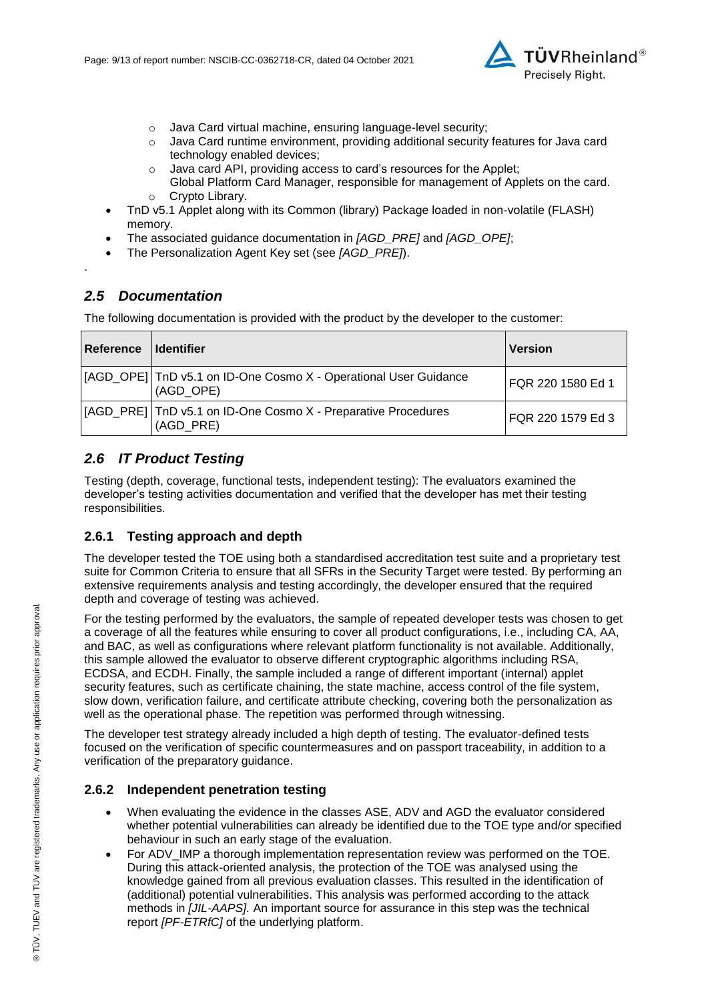

- o Java Card virtual machine, ensuring language-level security;
- $\circ$  Java Card runtime environment, providing additional security features for Java card technology enabled devices;
- o Java card API, providing access to card's resources for the Applet;
- Global Platform Card Manager, responsible for management of Applets on the card. o Crypto Library.
- TnD v5.1 Applet along with its Common (library) Package loaded in non-volatile (FLASH) memory.
- The associated guidance documentation in *[AGD\_PRE]* and *[AGD\_OPE]*;
- The Personalization Agent Key set (see *[AGD\_PRE]*).

#### <span id="page-8-0"></span>*2.5 Documentation*

.

The following documentation is provided with the product by the developer to the customer:

| Reference   Identifier |                                                                               | <b>Version</b>    |
|------------------------|-------------------------------------------------------------------------------|-------------------|
|                        | [AGD_OPE] TnD v5.1 on ID-One Cosmo X - Operational User Guidance<br>(AGD OPE) | FQR 220 1580 Ed 1 |
|                        | [AGD_PRE] TnD v5.1 on ID-One Cosmo X - Preparative Procedures<br>(AGD PRE)    | FQR 220 1579 Ed 3 |

## *2.6 IT Product Testing*

Testing (depth, coverage, functional tests, independent testing): The evaluators examined the developer's testing activities documentation and verified that the developer has met their testing responsibilities.

### **2.6.1 Testing approach and depth**

The developer tested the TOE using both a standardised accreditation test suite and a proprietary test suite for Common Criteria to ensure that all SFRs in the Security Target were tested. By performing an extensive requirements analysis and testing accordingly, the developer ensured that the required depth and coverage of testing was achieved.

For the testing performed by the evaluators, the sample of repeated developer tests was chosen to get a coverage of all the features while ensuring to cover all product configurations, i.e., including CA, AA, and BAC, as well as configurations where relevant platform functionality is not available. Additionally, this sample allowed the evaluator to observe different cryptographic algorithms including RSA, ECDSA, and ECDH. Finally, the sample included a range of different important (internal) applet security features, such as certificate chaining, the state machine, access control of the file system, slow down, verification failure, and certificate attribute checking, covering both the personalization as well as the operational phase. The repetition was performed through witnessing.

The developer test strategy already included a high depth of testing. The evaluator-defined tests focused on the verification of specific countermeasures and on passport traceability, in addition to a verification of the preparatory guidance.

#### **2.6.2 Independent penetration testing**

- When evaluating the evidence in the classes ASE, ADV and AGD the evaluator considered whether potential vulnerabilities can already be identified due to the TOE type and/or specified behaviour in such an early stage of the evaluation.
- For ADV IMP a thorough implementation representation review was performed on the TOE. During this attack-oriented analysis, the protection of the TOE was analysed using the knowledge gained from all previous evaluation classes. This resulted in the identification of (additional) potential vulnerabilities. This analysis was performed according to the attack methods in *[JIL-AAPS].* An important source for assurance in this step was the technical report *[PF-ETRfC]* of the underlying platform.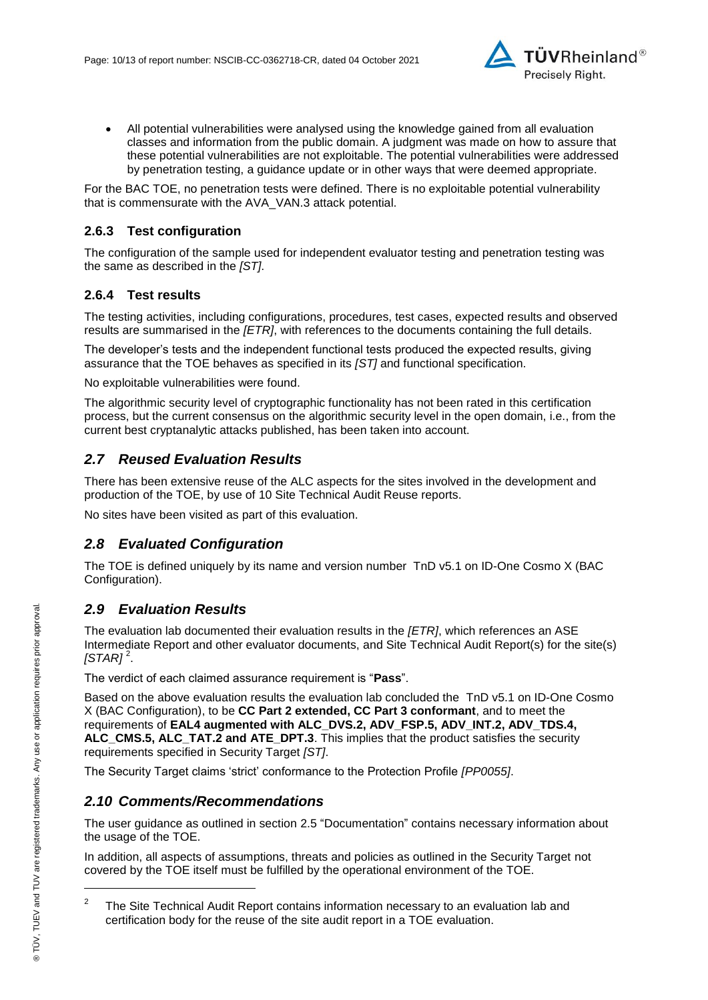

 All potential vulnerabilities were analysed using the knowledge gained from all evaluation classes and information from the public domain. A judgment was made on how to assure that these potential vulnerabilities are not exploitable. The potential vulnerabilities were addressed by penetration testing, a guidance update or in other ways that were deemed appropriate.

For the BAC TOE, no penetration tests were defined. There is no exploitable potential vulnerability that is commensurate with the AVA\_VAN.3 attack potential.

### **2.6.3 Test configuration**

The configuration of the sample used for independent evaluator testing and penetration testing was the same as described in the *[ST]*.

## **2.6.4 Test results**

The testing activities, including configurations, procedures, test cases, expected results and observed results are summarised in the *[ETR]*, with references to the documents containing the full details.

The developer's tests and the independent functional tests produced the expected results, giving assurance that the TOE behaves as specified in its *[ST]* and functional specification.

No exploitable vulnerabilities were found.

The algorithmic security level of cryptographic functionality has not been rated in this certification process, but the current consensus on the algorithmic security level in the open domain, i.e., from the current best cryptanalytic attacks published, has been taken into account.

## *2.7 Reused Evaluation Results*

There has been extensive reuse of the ALC aspects for the sites involved in the development and production of the TOE, by use of 10 Site Technical Audit Reuse reports.

No sites have been visited as part of this evaluation.

## *2.8 Evaluated Configuration*

The TOE is defined uniquely by its name and version number [TnD v5.1 on ID-One Cosmo X \(BAC](#page-0-3)  [Configuration\).](#page-0-3)

## *2.9 Evaluation Results*

The evaluation lab documented their evaluation results in the *[ETR]*, which references an ASE Intermediate Report and other evaluator documents, and Site Technical Audit Report(s) for the site(s) *[STAR]* <sup>2</sup> .

The verdict of each claimed assurance requirement is "**Pass**".

Based on the above evaluation results the evaluation lab concluded the [TnD v5.1 on ID-One Cosmo](#page-0-3)  [X \(BAC Configuration\),](#page-0-3) to be **CC Part 2 extended, CC Part 3 conformant**, and to meet the requirements of **EA[L4](#page-4-0) augmented with ALC\_DVS.2, ADV\_FSP.5, ADV\_INT.2, ADV\_TDS.4, ALC\_CMS.5, ALC\_TAT.2 and ATE\_DPT.3**. This implies that the product satisfies the security requirements specified in Security Target *[ST]*.

The Security Target claims 'strict' conformance to the Protection Profile *[PP0055]*.

## *2.10 Comments/Recommendations*

The user guidance as outlined in section [2.5](#page-8-0) ["Documentation"](#page-8-0) contains necessary information about the usage of the TOE.

In addition, all aspects of assumptions, threats and policies as outlined in the Security Target not covered by the TOE itself must be fulfilled by the operational environment of the TOE.

l

<sup>2</sup> The Site Technical Audit Report contains information necessary to an evaluation lab and certification body for the reuse of the site audit report in a TOE evaluation.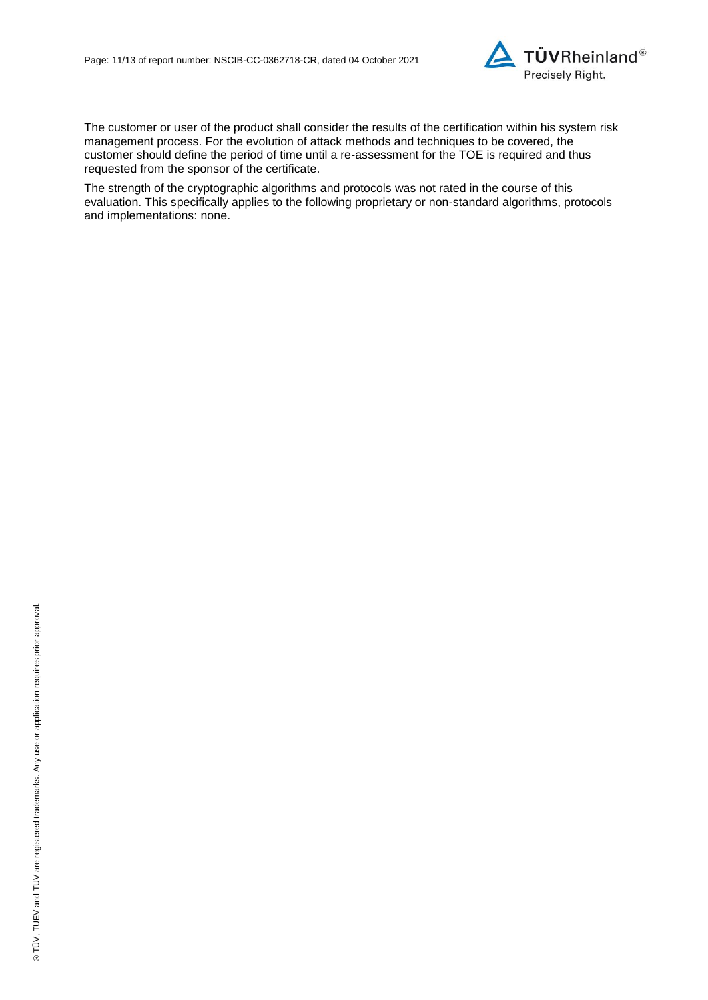

The customer or user of the product shall consider the results of the certification within his system risk management process. For the evolution of attack methods and techniques to be covered, the customer should define the period of time until a re-assessment for the TOE is required and thus requested from the sponsor of the certificate.

The strength of the cryptographic algorithms and protocols was not rated in the course of this evaluation. This specifically applies to the following proprietary or non-standard algorithms, protocols and implementations: none.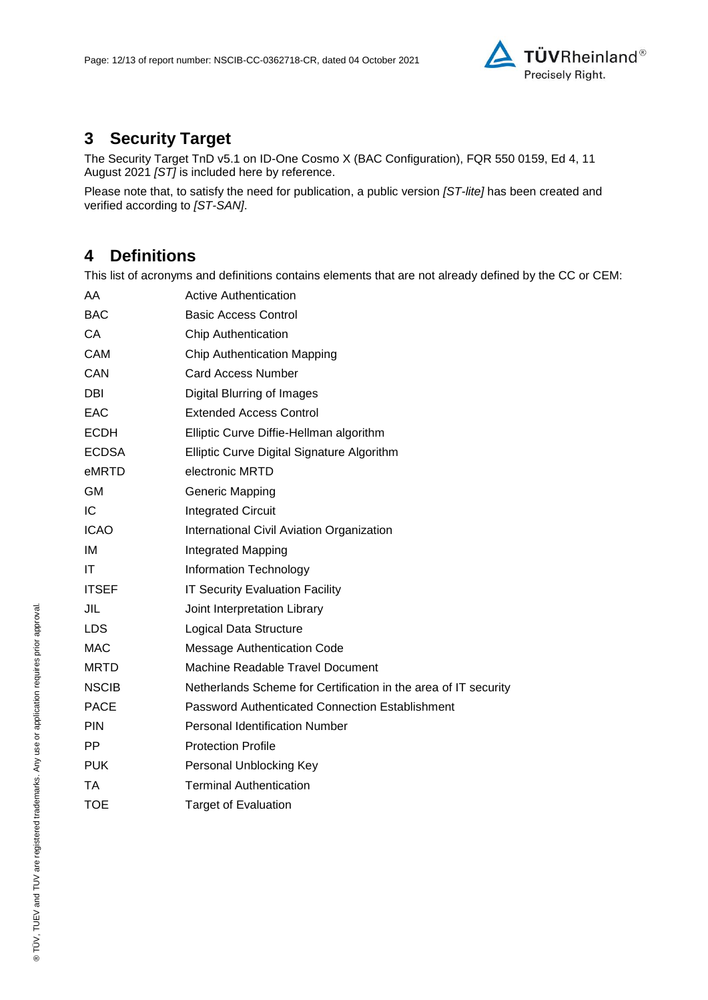

# **3 Security Target**

The [Security Target TnD v5.1 on ID-One Cosmo X \(BAC Configuration\), FQR 550 0159, Ed 4, 11](#page-12-0)  [August 2021](#page-12-0) *[ST]* is included here by reference.

Please note that, to satisfy the need for publication, a public version *[ST-lite]* has been created and verified according to *[ST-SAN]*.

## **4 Definitions**

This list of acronyms and definitions contains elements that are not already defined by the CC or CEM:

| AA           | <b>Active Authentication</b>                                    |
|--------------|-----------------------------------------------------------------|
| <b>BAC</b>   | <b>Basic Access Control</b>                                     |
| СA           | <b>Chip Authentication</b>                                      |
| <b>CAM</b>   | <b>Chip Authentication Mapping</b>                              |
| CAN          | <b>Card Access Number</b>                                       |
| DBI          | <b>Digital Blurring of Images</b>                               |
| EAC          | <b>Extended Access Control</b>                                  |
| <b>ECDH</b>  | Elliptic Curve Diffie-Hellman algorithm                         |
| <b>ECDSA</b> | Elliptic Curve Digital Signature Algorithm                      |
| eMRTD        | electronic MRTD                                                 |
| GM           | <b>Generic Mapping</b>                                          |
| IC           | <b>Integrated Circuit</b>                                       |
| <b>ICAO</b>  | International Civil Aviation Organization                       |
| IM           | Integrated Mapping                                              |
| ΙT           | Information Technology                                          |
| <b>ITSEF</b> | <b>IT Security Evaluation Facility</b>                          |
| JIL          | Joint Interpretation Library                                    |
| <b>LDS</b>   | Logical Data Structure                                          |
| <b>MAC</b>   | <b>Message Authentication Code</b>                              |
| <b>MRTD</b>  | Machine Readable Travel Document                                |
| <b>NSCIB</b> | Netherlands Scheme for Certification in the area of IT security |
| <b>PACE</b>  | Password Authenticated Connection Establishment                 |
| <b>PIN</b>   | <b>Personal Identification Number</b>                           |
| <b>PP</b>    | <b>Protection Profile</b>                                       |
| <b>PUK</b>   | Personal Unblocking Key                                         |
| ТA           | <b>Terminal Authentication</b>                                  |
| <b>TOE</b>   | <b>Target of Evaluation</b>                                     |